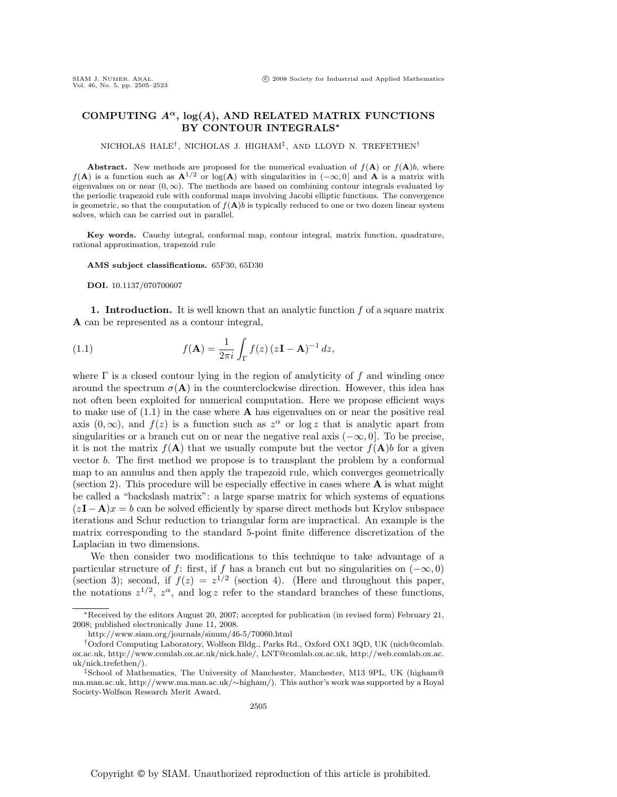## **COMPUTING** *Aα***, log(***A***), AND RELATED MATRIX FUNCTIONS BY CONTOUR INTEGRALS***∗*

NICHOLAS HALE†, NICHOLAS J. HIGHAM‡, AND LLOYD N. TREFETHEN†

**Abstract.** New methods are proposed for the numerical evaluation of  $f(A)$  or  $f(A)b$ , where  $f(A)$  is a function such as  $A^{1/2}$  or log(A) with singularities in  $(-\infty,0]$  and A is a matrix with eigenvalues on or near  $(0, \infty)$ . The methods are based on combining contour integrals evaluated by the periodic trapezoid rule with conformal maps involving Jacobi elliptic functions. The convergence is geometric, so that the computation of  $f(A)$  is typically reduced to one or two dozen linear system solves, which can be carried out in parallel.

**Key words.** Cauchy integral, conformal map, contour integral, matrix function, quadrature, rational approximation, trapezoid rule

**AMS subject classifications.** 65F30, 65D30

**DOI.** 10.1137/070700607

**1. Introduction.** It is well known that an analytic function  $f$  of a square matrix **A** can be represented as a contour integral,

(1.1) 
$$
f(\mathbf{A}) = \frac{1}{2\pi i} \int_{\Gamma} f(z) (z\mathbf{I} - \mathbf{A})^{-1} dz,
$$

where  $\Gamma$  is a closed contour lying in the region of analyticity of f and winding once around the spectrum  $\sigma(A)$  in the counterclockwise direction. However, this idea has not often been exploited for numerical computation. Here we propose efficient ways to make use of (1.1) in the case where **A** has eigenvalues on or near the positive real axis  $(0, \infty)$ , and  $f(z)$  is a function such as  $z^{\alpha}$  or log z that is analytic apart from singularities or a branch cut on or near the negative real axis  $(-\infty, 0]$ . To be precise, it is not the matrix  $f(\mathbf{A})$  that we usually compute but the vector  $f(\mathbf{A})$  for a given vector b. The first method we propose is to transplant the problem by a conformal map to an annulus and then apply the trapezoid rule, which converges geometrically (section 2). This procedure will be especially effective in cases where **A** is what might be called a "backslash matrix": a large sparse matrix for which systems of equations  $(zI - A)x = b$  can be solved efficiently by sparse direct methods but Krylov subspace iterations and Schur reduction to triangular form are impractical. An example is the matrix corresponding to the standard 5-point finite difference discretization of the Laplacian in two dimensions.

We then consider two modifications to this technique to take advantage of a particular structure of f: first, if f has a branch cut but no singularities on  $(-\infty, 0)$ (section 3); second, if  $f(z) = z^{1/2}$  (section 4). (Here and throughout this paper, the notations  $z^{1/2}$ ,  $z^{\alpha}$ , and  $\log z$  refer to the standard branches of these functions,

<sup>∗</sup>Received by the editors August 20, 2007; accepted for publication (in revised form) February 21, 2008; published electronically June 11, 2008.

http://www.siam.org/journals/sinum/46-5/70060.html

<sup>†</sup>Oxford Computing Laboratory, Wolfson Bldg., Parks Rd., Oxford OX1 3QD, UK (nich@comlab. ox.ac.uk, http://www.comlab.ox.ac.uk/nick.hale/, LNT@comlab.ox.ac.uk, http://web.comlab.ox.ac. uk/nick.trefethen/).

<sup>‡</sup>School of Mathematics, The University of Manchester, Manchester, M13 9PL, UK (higham@ ma.man.ac.uk, http://www.ma.man.ac.uk/∼higham/). This author's work was supported by a Royal Society-Wolfson Research Merit Award.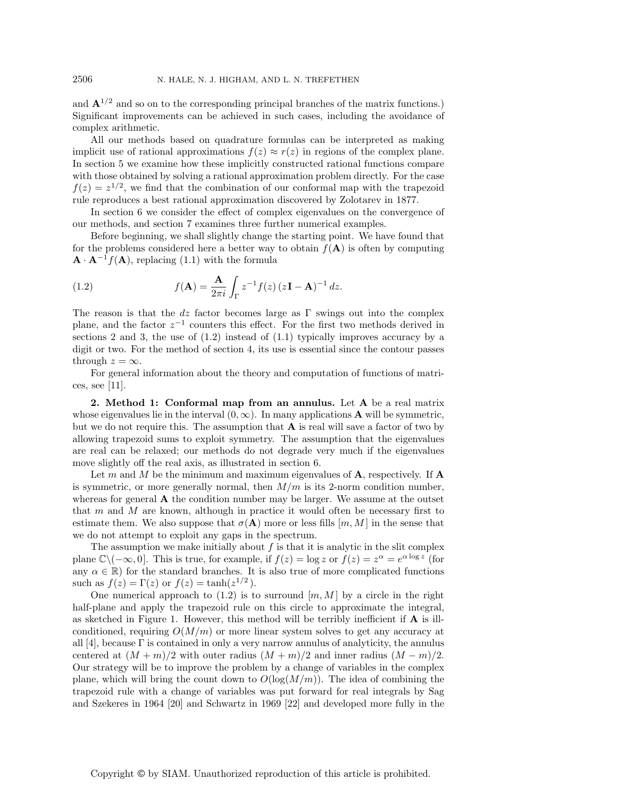and  $\mathbf{A}^{1/2}$  and so on to the corresponding principal branches of the matrix functions.) Significant improvements can be achieved in such cases, including the avoidance of complex arithmetic.

All our methods based on quadrature formulas can be interpreted as making implicit use of rational approximations  $f(z) \approx r(z)$  in regions of the complex plane. In section 5 we examine how these implicitly constructed rational functions compare with those obtained by solving a rational approximation problem directly. For the case  $f(z) = z^{1/2}$ , we find that the combination of our conformal map with the trapezoid rule reproduces a best rational approximation discovered by Zolotarev in 1877.

In section 6 we consider the effect of complex eigenvalues on the convergence of our methods, and section 7 examines three further numerical examples.

Before beginning, we shall slightly change the starting point. We have found that for the problems considered here a better way to obtain  $f(A)$  is often by computing  $\mathbf{A} \cdot \mathbf{A}^{-1} f(\mathbf{A})$ , replacing (1.1) with the formula

(1.2) 
$$
f(\mathbf{A}) = \frac{\mathbf{A}}{2\pi i} \int_{\Gamma} z^{-1} f(z) (z\mathbf{I} - \mathbf{A})^{-1} dz.
$$

The reason is that the dz factor becomes large as  $\Gamma$  swings out into the complex plane, and the factor  $z^{-1}$  counters this effect. For the first two methods derived in sections 2 and 3, the use of  $(1.2)$  instead of  $(1.1)$  typically improves accuracy by a digit or two. For the method of section 4, its use is essential since the contour passes through  $z = \infty$ .

For general information about the theory and computation of functions of matrices, see [11].

**2. Method 1: Conformal map from an annulus.** Let **A** be a real matrix whose eigenvalues lie in the interval  $(0, \infty)$ . In many applications **A** will be symmetric, but we do not require this. The assumption that **A** is real will save a factor of two by allowing trapezoid sums to exploit symmetry. The assumption that the eigenvalues are real can be relaxed; our methods do not degrade very much if the eigenvalues move slightly off the real axis, as illustrated in section 6.

Let m and M be the minimum and maximum eigenvalues of  $\bf{A}$ , respectively. If  $\bf{A}$ is symmetric, or more generally normal, then  $M/m$  is its 2-norm condition number, whereas for general **A** the condition number may be larger. We assume at the outset that m and M are known, although in practice it would often be necessary first to estimate them. We also suppose that  $\sigma(A)$  more or less fills  $[m, M]$  in the sense that we do not attempt to exploit any gaps in the spectrum.

The assumption we make initially about  $f$  is that it is analytic in the slit complex plane  $\mathbb{C}\setminus(-\infty,0]$ . This is true, for example, if  $f(z) = \log z$  or  $f(z) = z^{\alpha} = e^{\alpha \log z}$  (for any  $\alpha \in \mathbb{R}$ ) for the standard branches. It is also true of more complicated functions such as  $f(z) = \Gamma(z)$  or  $f(z) = \tanh(z^{1/2})$ .

One numerical approach to  $(1.2)$  is to surround  $[m, M]$  by a circle in the right half-plane and apply the trapezoid rule on this circle to approximate the integral, as sketched in Figure 1. However, this method will be terribly inefficient if **A** is illconditioned, requiring  $O(M/m)$  or more linear system solves to get any accuracy at all [4], because  $\Gamma$  is contained in only a very narrow annulus of analyticity, the annulus centered at  $(M + m)/2$  with outer radius  $(M + m)/2$  and inner radius  $(M - m)/2$ . Our strategy will be to improve the problem by a change of variables in the complex plane, which will bring the count down to  $O(\log(M/m))$ . The idea of combining the trapezoid rule with a change of variables was put forward for real integrals by Sag and Szekeres in 1964 [20] and Schwartz in 1969 [22] and developed more fully in the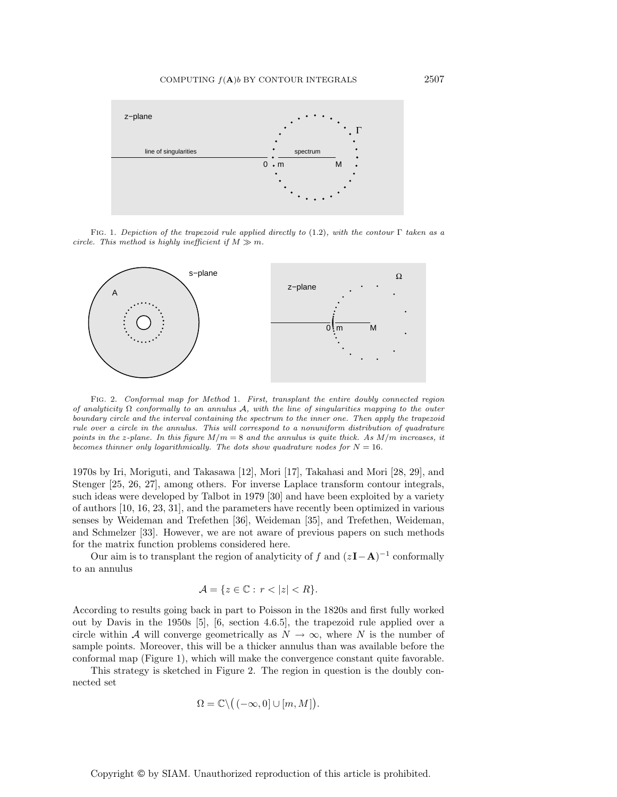

FIG. 1. Depiction of the trapezoid rule applied directly to (1.2), with the contour  $\Gamma$  taken as a circle. This method is highly inefficient if  $M \gg m$ .



Fig. 2. Conformal map for Method 1. First, transplant the entire doubly connected region of analyticity  $\Omega$  conformally to an annulus A, with the line of singularities mapping to the outer boundary circle and the interval containing the spectrum to the inner one. Then apply the trapezoid rule over a circle in the annulus. This will correspond to a nonuniform distribution of quadrature points in the z-plane. In this figure  $M/m = 8$  and the annulus is quite thick. As  $M/m$  increases, it becomes thinner only logarithmically. The dots show quadrature nodes for  $N = 16$ .

1970s by Iri, Moriguti, and Takasawa [12], Mori [17], Takahasi and Mori [28, 29], and Stenger [25, 26, 27], among others. For inverse Laplace transform contour integrals, such ideas were developed by Talbot in 1979 [30] and have been exploited by a variety of authors [10, 16, 23, 31], and the parameters have recently been optimized in various senses by Weideman and Trefethen [36], Weideman [35], and Trefethen, Weideman, and Schmelzer [33]. However, we are not aware of previous papers on such methods for the matrix function problems considered here.

Our aim is to transplant the region of analyticity of f and  $(zI-\mathbf{A})^{-1}$  conformally to an annulus

$$
\mathcal{A} = \{ z \in \mathbb{C} : r < |z| < R \}.
$$

According to results going back in part to Poisson in the 1820s and first fully worked out by Davis in the 1950s [5], [6, section 4.6.5], the trapezoid rule applied over a circle within A will converge geometrically as  $N \to \infty$ , where N is the number of sample points. Moreover, this will be a thicker annulus than was available before the conformal map (Figure 1), which will make the convergence constant quite favorable.

This strategy is sketched in Figure 2. The region in question is the doubly connected set

$$
\Omega = \mathbb{C} \setminus ((-\infty, 0] \cup [m, M]).
$$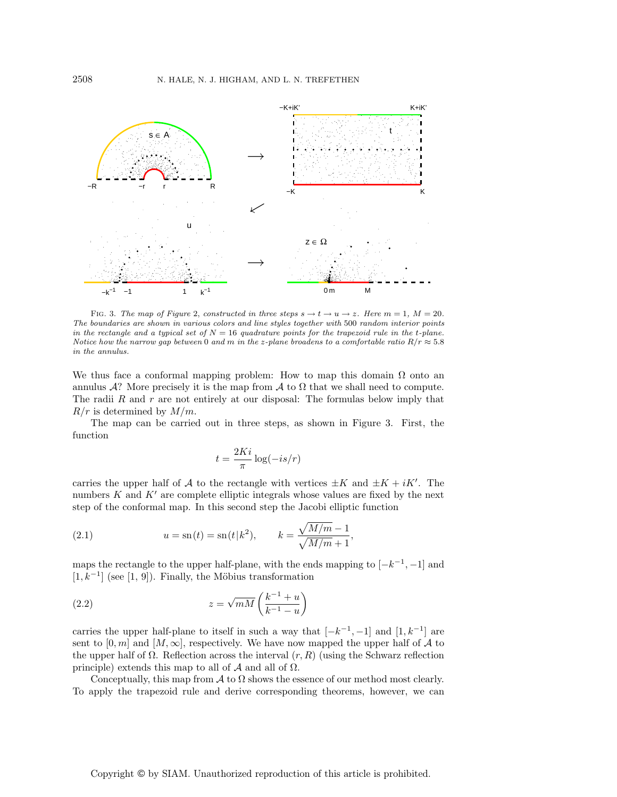

FIG. 3. The map of Figure 2, constructed in three steps  $s \to t \to u \to z$ . Here  $m = 1$ ,  $M = 20$ . The boundaries are shown in various colors and line styles together with 500 random interior points in the rectangle and a typical set of  $N = 16$  quadrature points for the trapezoid rule in the t-plane. Notice how the narrow gap between 0 and m in the z-plane broadens to a comfortable ratio  $R/r \approx 5.8$ in the annulus.

We thus face a conformal mapping problem: How to map this domain  $\Omega$  onto an annulus A? More precisely it is the map from A to  $\Omega$  that we shall need to compute. The radii  $R$  and  $r$  are not entirely at our disposal: The formulas below imply that  $R/r$  is determined by  $M/m$ .

The map can be carried out in three steps, as shown in Figure 3. First, the function

$$
t = \frac{2Ki}{\pi} \log(-is/r)
$$

carries the upper half of A to the rectangle with vertices  $\pm K$  and  $\pm K + iK'$ . The numbers  $K$  and  $K'$  are complete elliptic integrals whose values are fixed by the next step of the conformal map. In this second step the Jacobi elliptic function

(2.1) 
$$
u = \mathrm{sn}(t) = \mathrm{sn}(t|k^2), \qquad k = \frac{\sqrt{M/m} - 1}{\sqrt{M/m} + 1},
$$

maps the rectangle to the upper half-plane, with the ends mapping to  $[-k^{-1}, -1]$  and  $[1, k^{-1}]$  (see  $[1, 9]$ ). Finally, the Möbius transformation

(2.2) 
$$
z = \sqrt{mM} \left( \frac{k^{-1} + u}{k^{-1} - u} \right)
$$

carries the upper half-plane to itself in such a way that  $[-k^{-1}, -1]$  and  $[1, k^{-1}]$  are sent to  $[0, m]$  and  $[M, \infty]$ , respectively. We have now mapped the upper half of A to the upper half of  $\Omega$ . Reflection across the interval  $(r, R)$  (using the Schwarz reflection principle) extends this map to all of  $A$  and all of  $\Omega$ .

Conceptually, this map from  $\mathcal A$  to  $\Omega$  shows the essence of our method most clearly. To apply the trapezoid rule and derive corresponding theorems, however, we can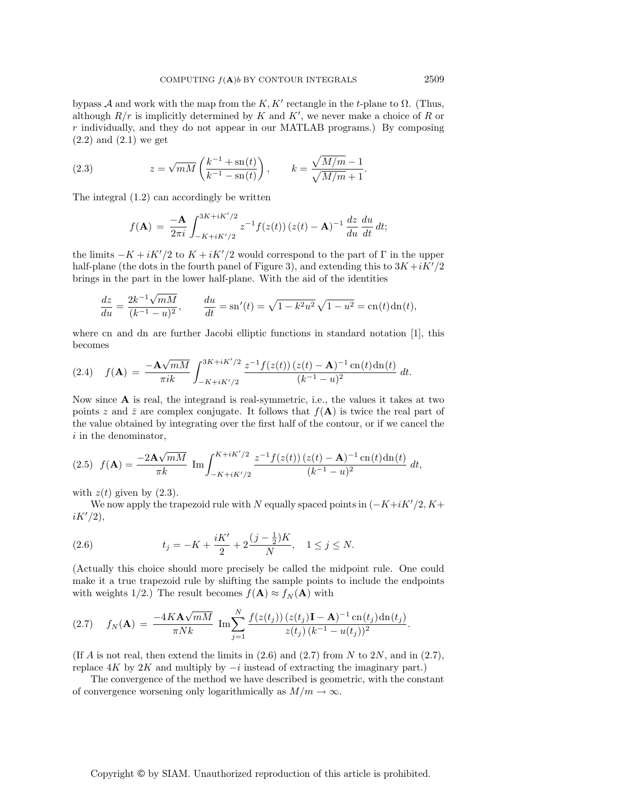bypass A and work with the map from the K,  $K'$  rectangle in the t-plane to  $\Omega$ . (Thus, although  $R/r$  is implicitly determined by K and K', we never make a choice of R or  $r$  individually, and they do not appear in our MATLAB programs.) By composing  $(2.2)$  and  $(2.1)$  we get

(2.3) 
$$
z = \sqrt{mM} \left( \frac{k^{-1} + \text{sn}(t)}{k^{-1} - \text{sn}(t)} \right), \qquad k = \frac{\sqrt{M/m} - 1}{\sqrt{M/m} + 1}.
$$

The integral (1.2) can accordingly be written

$$
f(\mathbf{A}) = \frac{-\mathbf{A}}{2\pi i} \int_{-K+iK'/2}^{3K+iK'/2} z^{-1} f(z(t)) (z(t) - \mathbf{A})^{-1} \frac{dz}{du} \frac{du}{dt} dt;
$$

the limits  $-K + iK'/2$  to  $K + iK'/2$  would correspond to the part of  $\Gamma$  in the upper half-plane (the dots in the fourth panel of Figure 3), and extending this to  $3K + iK'/2$ brings in the part in the lower half-plane. With the aid of the identities

$$
\frac{dz}{du} = \frac{2k^{-1}\sqrt{mM}}{(k^{-1} - u)^2}, \qquad \frac{du}{dt} = \text{sn}'(t) = \sqrt{1 - k^2 u^2} \sqrt{1 - u^2} = \text{cn}(t) \text{dn}(t),
$$

where cn and dn are further Jacobi elliptic functions in standard notation [1], this becomes

$$
(2.4) \quad f(\mathbf{A}) = \frac{-\mathbf{A}\sqrt{mM}}{\pi i k} \int_{-K+iK'/2}^{3K+iK'/2} \frac{z^{-1}f(z(t))(z(t)-\mathbf{A})^{-1}\operatorname{cn}(t)\operatorname{dn}(t)}{(k^{-1}-u)^2} dt.
$$

Now since **A** is real, the integrand is real-symmetric, i.e., the values it takes at two points z and  $\bar{z}$  are complex conjugate. It follows that  $f(A)$  is twice the real part of the value obtained by integrating over the first half of the contour, or if we cancel the i in the denominator,

$$
(2.5) \ f(\mathbf{A}) = \frac{-2\mathbf{A}\sqrt{mM}}{\pi k} \ \text{Im} \int_{-K+iK'/2}^{K+iK'/2} \frac{z^{-1}f(z(t))\,(z(t)-\mathbf{A})^{-1}\,\text{cn}(t)\,\text{dn}(t)}{(k^{-1}-u)^2} \ dt,
$$

with  $z(t)$  given by  $(2.3)$ .

We now apply the trapezoid rule with N equally spaced points in  $(-K+iK'/2, K+$  $iK'/2$ ),

(2.6) 
$$
t_j = -K + \frac{iK'}{2} + 2\frac{(j - \frac{1}{2})K}{N}, \quad 1 \le j \le N.
$$

(Actually this choice should more precisely be called the midpoint rule. One could make it a true trapezoid rule by shifting the sample points to include the endpoints with weights 1/2.) The result becomes  $f(\mathbf{A}) \approx f_N(\mathbf{A})$  with

(2.7) 
$$
f_N(\mathbf{A}) = \frac{-4K\mathbf{A}\sqrt{mM}}{\pi Nk} \operatorname{Im} \sum_{j=1}^N \frac{f(z(t_j)) (z(t_j)\mathbf{I} - \mathbf{A})^{-1} \operatorname{cn}(t_j) \operatorname{dn}(t_j)}{z(t_j) (k^{-1} - u(t_j))^2}.
$$

(If A is not real, then extend the limits in  $(2.6)$  and  $(2.7)$  from N to 2N, and in  $(2.7)$ , replace  $4K$  by  $2K$  and multiply by  $-i$  instead of extracting the imaginary part.)

The convergence of the method we have described is geometric, with the constant of convergence worsening only logarithmically as  $M/m \to \infty$ .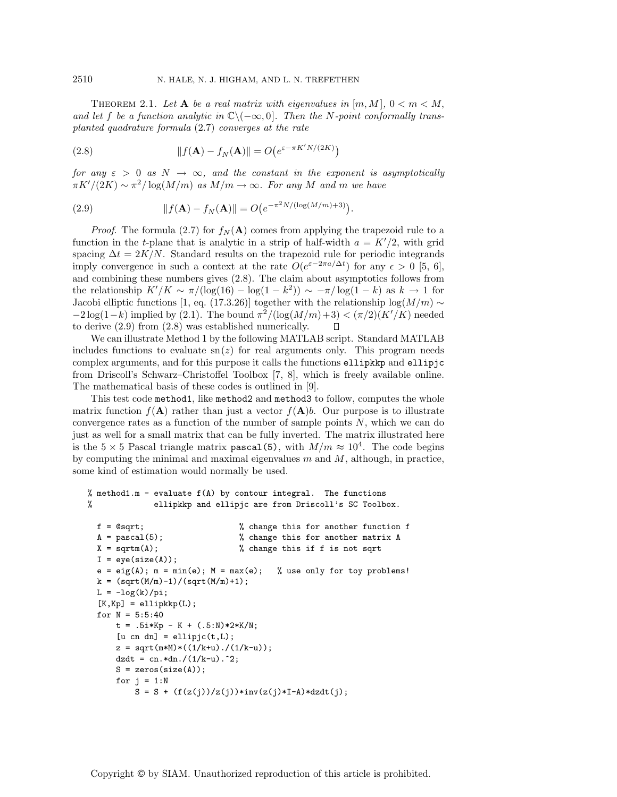THEOREM 2.1. Let **A** be a real matrix with eigenvalues in  $[m, M]$ ,  $0 < m < M$ , and let f be a function analytic in  $\mathbb{C}\setminus(-\infty,0]$ . Then the N-point conformally transplanted quadrature formula (2.7) converges at the rate

(2.8) 
$$
|| f(\mathbf{A}) - f_N(\mathbf{A}) || = O(e^{\varepsilon - \pi K' N/(2K)})
$$

for any  $\varepsilon > 0$  as  $N \to \infty$ , and the constant in the exponent is asymptotically  $\pi K'/(2K) \sim \pi^2/\log(M/m)$  as  $M/m \to \infty$ . For any M and m we have

(2.9) 
$$
||f(\mathbf{A}) - f_N(\mathbf{A})|| = O(e^{-\pi^2 N/(\log(M/m) + 3)}).
$$

*Proof.* The formula (2.7) for  $f_N(A)$  comes from applying the trapezoid rule to a function in the t-plane that is analytic in a strip of half-width  $a = K'/2$ , with grid spacing  $\Delta t = 2K/N$ . Standard results on the trapezoid rule for periodic integrands imply convergence in such a context at the rate  $O(e^{\varepsilon-2\pi a/\Delta t})$  for any  $\epsilon > 0$  [5, 6], and combining these numbers gives (2.8). The claim about asymptotics follows from the relationship  $K'/K \sim \pi/(\log(16) - \log(1 - k^2)) \sim -\pi/\log(1 - k)$  as  $k \to 1$  for Jacobi elliptic functions [1, eq. (17.3.26)] together with the relationship log( $M/m$ ) ∼  $-2\log(1-k)$  implied by (2.1). The bound  $\pi^2/(\log(M/m)+3)<(\pi/2)(K'/K)$  needed to derive (2.9) from (2.8) was established numerically. П

We can illustrate Method 1 by the following MATLAB script. Standard MATLAB includes functions to evaluate  $\text{sn}(z)$  for real arguments only. This program needs complex arguments, and for this purpose it calls the functions ellipkkp and ellipjc from Driscoll's Schwarz–Christoffel Toolbox [7, 8], which is freely available online. The mathematical basis of these codes is outlined in [9].

This test code method1, like method2 and method3 to follow, computes the whole matrix function  $f(A)$  rather than just a vector  $f(A)b$ . Our purpose is to illustrate convergence rates as a function of the number of sample points  $N$ , which we can do just as well for a small matrix that can be fully inverted. The matrix illustrated here is the  $5 \times 5$  Pascal triangle matrix pascal(5), with  $M/m \approx 10^4$ . The code begins by computing the minimal and maximal eigenvalues  $m$  and  $M$ , although, in practice, some kind of estimation would normally be used.

```
% method1.m - evaluate f(A) by contour integral. The functions
% ellipkkp and ellipjc are from Driscoll's SC Toolbox.
```

```
f = @sqrt; % change this for another function f
A = pascal(5); \% change this for another matrix AX = \text{sqrt}(A); % change this if f is not sqrt
I = eye(size(A));e = eig(A); m = min(e); M = max(e); % use only for toy problems!
k = (sqrt(M/m)-1)/(sqrt(M/m)+1);L = -log(k)/pi;[K, Kp] = \text{ellipkkp}(L);for N = 5:5:40t = .5i*Kp - K + (.5:N)*2*K/N;[u \text{ cn } dn] = \text{ellipj}(t, L);z = sqrt(m*M)*( (1/k+u) ./(1/k-u));dzdt = cn. *dn. /(1/k-u). ^2;
   S = zeros(size(A));for j = 1:NS = S + (f(z(j))/z(j)) * inv(z(j) * I - A) * dzdt(j);
```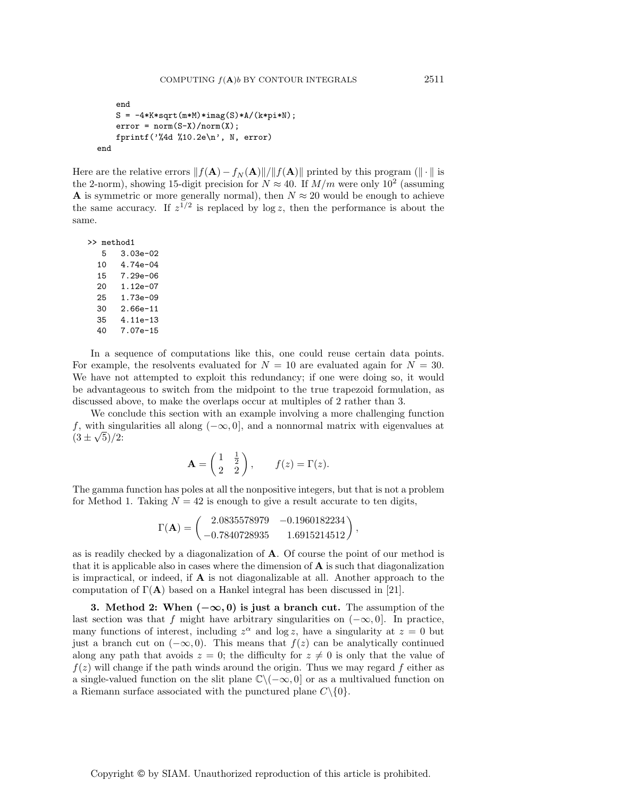```
end
   S = -4*K*sqrt(m*M)*imag(S)*A/(k*pi*N);error = norm(S-X)/norm(X);fprintf('%4d %10.2e\n', N, error)
end
```
Here are the relative errors  $|| f(A) - f_N(A)|| / || f(A)||$  printed by this program ( $|| \cdot ||$  is the 2-norm), showing 15-digit precision for  $N \approx 40$ . If  $M/m$  were only  $10^2$  (assuming **A** is symmetric or more generally normal), then  $N \approx 20$  would be enough to achieve the same accuracy. If  $z^{1/2}$  is replaced by log z, then the performance is about the same.

>> method1 5 3.03e-02 10 4.74e-04 15 7.29e-06 20 1.12e-07 25 1.73e-09 30 2.66e-11 35 4.11e-13 40 7.07e-15

In a sequence of computations like this, one could reuse certain data points. For example, the resolvents evaluated for  $N = 10$  are evaluated again for  $N = 30$ . We have not attempted to exploit this redundancy; if one were doing so, it would be advantageous to switch from the midpoint to the true trapezoid formulation, as discussed above, to make the overlaps occur at multiples of 2 rather than 3.

We conclude this section with an example involving a more challenging function f, with singularities all along  $(-\infty, 0]$ , and a nonnormal matrix with eigenvalues at  $(3 \pm \sqrt{5})/2$ :

$$
\mathbf{A} = \begin{pmatrix} 1 & \frac{1}{2} \\ 2 & 2 \end{pmatrix}, \qquad f(z) = \Gamma(z).
$$

The gamma function has poles at all the nonpositive integers, but that is not a problem for Method 1. Taking  $N = 42$  is enough to give a result accurate to ten digits,

$$
\Gamma(\mathbf{A}) = \begin{pmatrix} 2.0835578979 & -0.1960182234 \\ -0.7840728935 & 1.6915214512 \end{pmatrix},
$$

as is readily checked by a diagonalization of **A**. Of course the point of our method is that it is applicable also in cases where the dimension of **A** is such that diagonalization is impractical, or indeed, if **A** is not diagonalizable at all. Another approach to the computation of  $\Gamma(A)$  based on a Hankel integral has been discussed in [21].

**3. Method 2: When (***−∞,* **0) is just a branch cut.** The assumption of the last section was that f might have arbitrary singularities on  $(-\infty, 0]$ . In practice, many functions of interest, including  $z^{\alpha}$  and  $\log z$ , have a singularity at  $z = 0$  but just a branch cut on  $(-\infty, 0)$ . This means that  $f(z)$  can be analytically continued along any path that avoids  $z = 0$ ; the difficulty for  $z \neq 0$  is only that the value of  $f(z)$  will change if the path winds around the origin. Thus we may regard f either as a single-valued function on the slit plane  $\mathbb{C}\setminus(-\infty, 0]$  or as a multivalued function on a Riemann surface associated with the punctured plane  $C \setminus \{0\}.$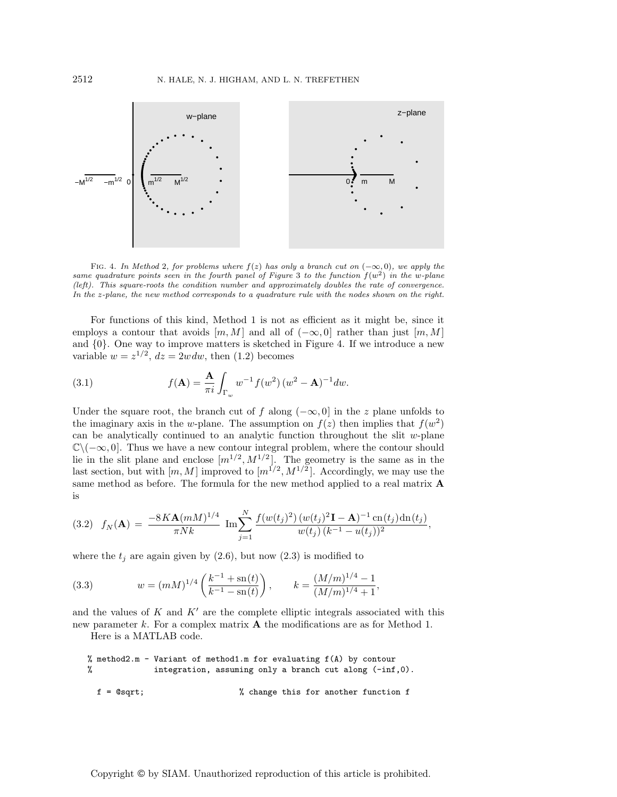

FIG. 4. In Method 2, for problems where  $f(z)$  has only a branch cut on  $(-\infty, 0)$ , we apply the same quadrature points seen in the fourth panel of Figure 3 to the function  $f(w^2)$  in the w-plane (left). This square-roots the condition number and approximately doubles the rate of convergence. In the z-plane, the new method corresponds to a quadrature rule with the nodes shown on the right.

For functions of this kind, Method 1 is not as efficient as it might be, since it employs a contour that avoids  $[m, M]$  and all of  $(-\infty, 0]$  rather than just  $[m, M]$ and {0}. One way to improve matters is sketched in Figure 4. If we introduce a new variable  $w = z^{1/2}$ ,  $dz = 2wdw$ , then (1.2) becomes

(3.1) 
$$
f(\mathbf{A}) = \frac{\mathbf{A}}{\pi i} \int_{\Gamma_w} w^{-1} f(w^2) (w^2 - \mathbf{A})^{-1} dw.
$$

Under the square root, the branch cut of f along  $(-\infty, 0]$  in the z plane unfolds to the imaginary axis in the w-plane. The assumption on  $f(z)$  then implies that  $f(w^2)$ can be analytically continued to an analytic function throughout the slit  $w$ -plane  $\mathbb{C}\setminus(-\infty,0].$  Thus we have a new contour integral problem, where the contour should lie in the slit plane and enclose  $[m^{1/2}, M^{1/2}]$ . The geometry is the same as in the last section, but with  $[m, M]$  improved to  $[m^{1/2}, M^{1/2}]$ . Accordingly, we may use the same method as before. The formula for the new method applied to a real matrix **A** is

$$
(3.2) \quad f_N(\mathbf{A}) = \frac{-8K\mathbf{A}(mM)^{1/4}}{\pi Nk} \operatorname{Im} \sum_{j=1}^N \frac{f(w(t_j)^2) (w(t_j)^2 \mathbf{I} - \mathbf{A})^{-1} \operatorname{cn}(t_j) \operatorname{dn}(t_j)}{w(t_j) (k^{-1} - u(t_j))^2},
$$

where the  $t_j$  are again given by (2.6), but now (2.3) is modified to

(3.3) 
$$
w = (mM)^{1/4} \left( \frac{k^{-1} + sn(t)}{k^{-1} - sn(t)} \right), \qquad k = \frac{(M/m)^{1/4} - 1}{(M/m)^{1/4} + 1},
$$

and the values of  $K$  and  $K'$  are the complete elliptic integrals associated with this new parameter k. For a complex matrix **A** the modifications are as for Method 1.

Here is a MATLAB code.

```
% method2.m - Variant of method1.m for evaluating f(A) by contour
% integration, assuming only a branch cut along (-inf,0).
 f = @sqrt; % change this for another function f
```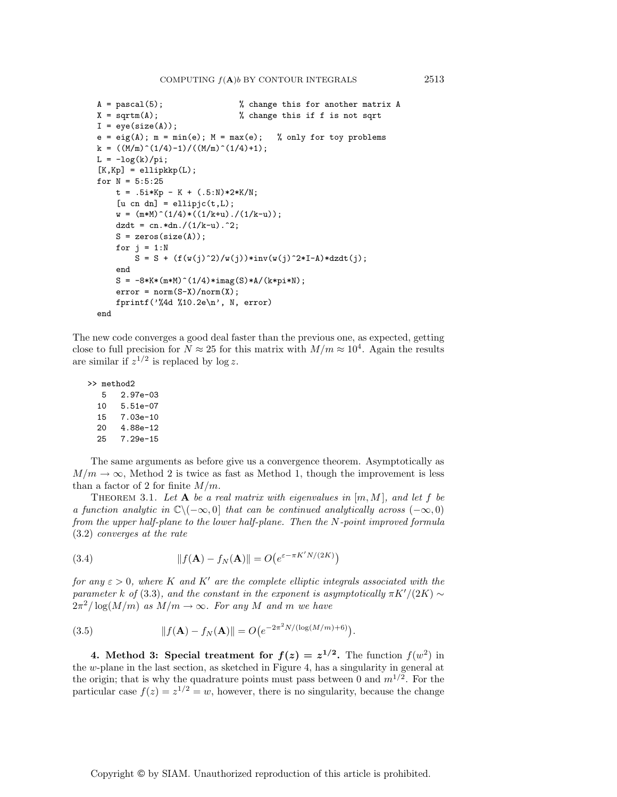```
A = pascal(5);<br>
X = sqrtm(A);<br>
X = sqrtm(A);<br>
X = k and k and k and k and k and k and k and k and k and k and k and k and k and k and k and k and k and k and k and k and k and k and k and k% change this if f is not sqrt
I = eye(size(A));e = eig(A); m = min(e); M = max(e); % only for toy problems
k = ((M/m)^(1/4)-1)/((M/m)^(1/4)+1);L = -log(k)/pi;[K, Kp] = \text{ellipkkp}(L);for N = 5:5:25t = .5i*Kp - K + (.5:N)*2*K/N;[u \text{ cn } dn] = \text{ellipic}(t, L);w = (m*M)^(1/4) * ((1/k+u) ./(1/k-u));dzdt = cn.*dn./(1/k-u).^2;S = zeros(size(A));for j = 1:NS = S + (f(w(j)^2)/w(j)) * inv(w(j)^2 * I - A) * dzdt(j);end
     S = -8*K*(m*M)^(1/4)*imag(S)*A/(k*pi*N);error = norm(S-X)/norm(X);fprintf(\sqrt[3]{4d} %10.2e\n', N, error)
end
```
The new code converges a good deal faster than the previous one, as expected, getting close to full precision for  $N \approx 25$  for this matrix with  $M/m \approx 10^4$ . Again the results are similar if  $z^{1/2}$  is replaced by log z.

```
>> method2
  5 2.97e-03
```

```
10 5.51e-07
15 7.03e-10
20 4.88e-12
25 7.29e-15
```
The same arguments as before give us a convergence theorem. Asymptotically as  $M/m \to \infty$ , Method 2 is twice as fast as Method 1, though the improvement is less than a factor of 2 for finite  $M/m$ .

THEOREM 3.1. Let  $A$  be a real matrix with eigenvalues in  $[m, M]$ , and let f be a function analytic in  $\mathbb{C}\setminus(-\infty,0]$  that can be continued analytically across  $(-\infty,0)$ from the upper half-plane to the lower half-plane. Then the N-point improved formula (3.2) converges at the rate

(3.4) 
$$
||f(\mathbf{A}) - f_N(\mathbf{A})|| = O(e^{\varepsilon - \pi K' N/(2K)})
$$

for any  $\varepsilon > 0$ , where K and K' are the complete elliptic integrals associated with the parameter k of (3.3), and the constant in the exponent is asymptotically  $\pi K'/(2K) \sim$  $2\pi^2/\log(M/m)$  as  $M/m \to \infty$ . For any M and m we have

(3.5) 
$$
||f(\mathbf{A}) - f_N(\mathbf{A})|| = O(e^{-2\pi^2 N/(\log(M/m) + 6)}).
$$

**4.** Method 3: Special treatment for  $f(z) = z^{1/2}$ . The function  $f(w^2)$  in the w-plane in the last section, as sketched in Figure 4, has a singularity in general at the origin; that is why the quadrature points must pass between 0 and  $m^{1/2}$ . For the particular case  $f(z) = z^{1/2} = w$ , however, there is no singularity, because the change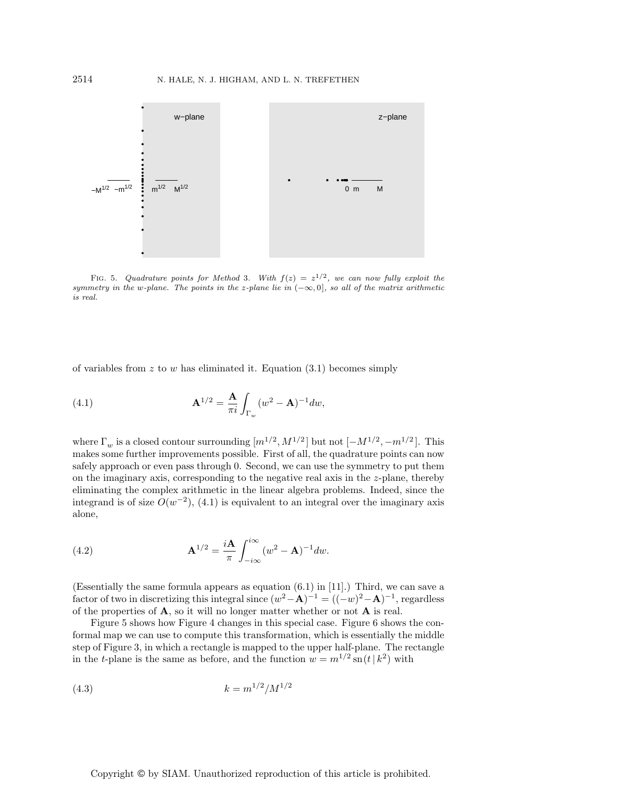

FIG. 5. Quadrature points for Method 3. With  $f(z) = z^{1/2}$ , we can now fully exploit the symmetry in the w-plane. The points in the z-plane lie in  $(-\infty, 0]$ , so all of the matrix arithmetic is real.

of variables from z to w has eliminated it. Equation  $(3.1)$  becomes simply

(4.1) 
$$
\mathbf{A}^{1/2} = \frac{\mathbf{A}}{\pi i} \int_{\Gamma_w} (w^2 - \mathbf{A})^{-1} dw,
$$

where  $\Gamma_w$  is a closed contour surrounding  $[m^{1/2}, M^{1/2}]$  but not  $[-M^{1/2}, -m^{1/2}]$ . This makes some further improvements possible. First of all, the quadrature points can now safely approach or even pass through 0. Second, we can use the symmetry to put them on the imaginary axis, corresponding to the negative real axis in the z-plane, thereby eliminating the complex arithmetic in the linear algebra problems. Indeed, since the integrand is of size  $O(w^{-2})$ , (4.1) is equivalent to an integral over the imaginary axis alone,

(4.2) 
$$
\mathbf{A}^{1/2} = \frac{i\mathbf{A}}{\pi} \int_{-i\infty}^{i\infty} (w^2 - \mathbf{A})^{-1} dw.
$$

(Essentially the same formula appears as equation (6.1) in [11].) Third, we can save a factor of two in discretizing this integral since  $(w^2 – \mathbf{A})^{-1} = ((-w)^2 - \mathbf{A})^{-1}$ , regardless of the properties of  $\bf{A}$ , so it will no longer matter whether or not  $\bf{A}$  is real.

Figure 5 shows how Figure 4 changes in this special case. Figure 6 shows the conformal map we can use to compute this transformation, which is essentially the middle step of Figure 3, in which a rectangle is mapped to the upper half-plane. The rectangle in the t-plane is the same as before, and the function  $w = m^{1/2} \operatorname{sn}(t | k^2)$  with

$$
(4.3) \t\t k = m^{1/2}/M^{1/2}
$$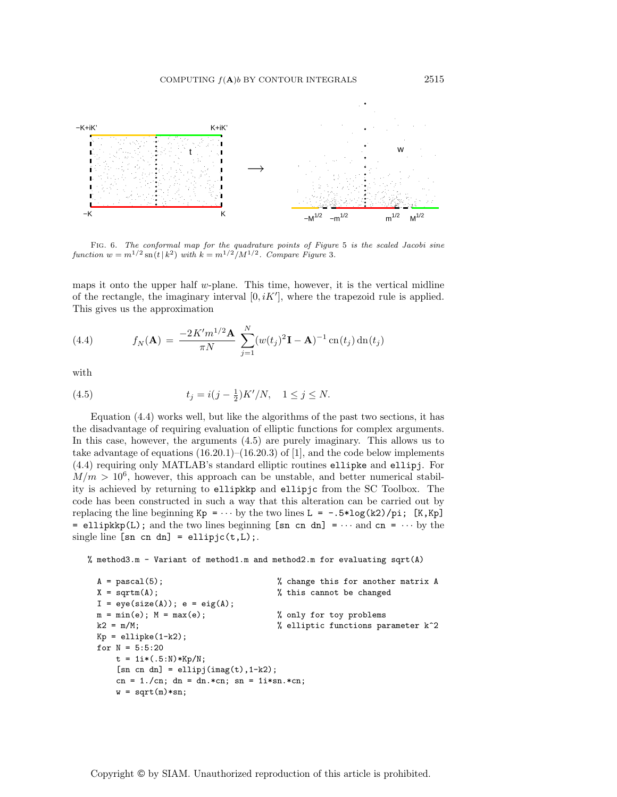

Fig. 6. The conformal map for the quadrature points of Figure 5 is the scaled Jacobi sine function  $w = m^{1/2} \operatorname{sn}(t | k^2)$  with  $k = m^{1/2}/M^{1/2}$ . Compare Figure 3.

maps it onto the upper half  $w$ -plane. This time, however, it is the vertical midline of the rectangle, the imaginary interval  $[0, iK']$ , where the trapezoid rule is applied. This gives us the approximation

(4.4) 
$$
f_N(\mathbf{A}) = \frac{-2K'm^{1/2}\mathbf{A}}{\pi N} \sum_{j=1}^N (w(t_j)^2 \mathbf{I} - \mathbf{A})^{-1} \operatorname{cn}(t_j) \operatorname{dn}(t_j)
$$

with

(4.5) 
$$
t_j = i(j - \frac{1}{2})K'/N, \quad 1 \le j \le N.
$$

Equation (4.4) works well, but like the algorithms of the past two sections, it has the disadvantage of requiring evaluation of elliptic functions for complex arguments. In this case, however, the arguments (4.5) are purely imaginary. This allows us to take advantage of equations  $(16.20.1)$ – $(16.20.3)$  of [1], and the code below implements (4.4) requiring only MATLAB's standard elliptic routines ellipke and ellipj. For  $M/m > 10^6$ , however, this approach can be unstable, and better numerical stability is achieved by returning to ellipkkp and ellipjc from the SC Toolbox. The code has been constructed in such a way that this alteration can be carried out by replacing the line beginning  $Kp = \cdots$  by the two lines  $L = -.5*log(k2)/pi$ ; [K,Kp] = ellipkkp(L); and the two lines beginning  $[\text{sn cn dn}] = \cdots$  and  $\text{cn} = \cdots$  by the single line  $[\text{sn cn dn}] = \text{ellipjc}(t, L)$ ;

% method3.m - Variant of method1.m and method2.m for evaluating sqrt(A)

```
A = pascal(5); % change this for another matrix A
X = \text{sqrt}(A); % this cannot be changed
I = eye(size(A)); e = eig(A);m = min(e); M = max(e); \% only for toy problems
k2 = m/M; \text{M} \text{M} \text{M} \text{M} \text{M} \text{M} \text{M} \text{M} \text{M} \text{M} \text{M} \text{M} \text{M} \text{M} \text{M} \text{M} \text{M} \text{M} \text{M} \text{M} \text{M} \text{M} \text{M} \text{M} \text{M} \text{M} \textKp = ellipke(1-k2);
for N = 5:5:20t = 1i * (.5:N)*Kp/N;[sn \text{ cn } dn] = \text{ellipj}(imag(t), 1-k2);cn = 1./cn; dn = dn.*cn; sn = 1i*sn.*cn;
     w = sqrt(m)*sn;
```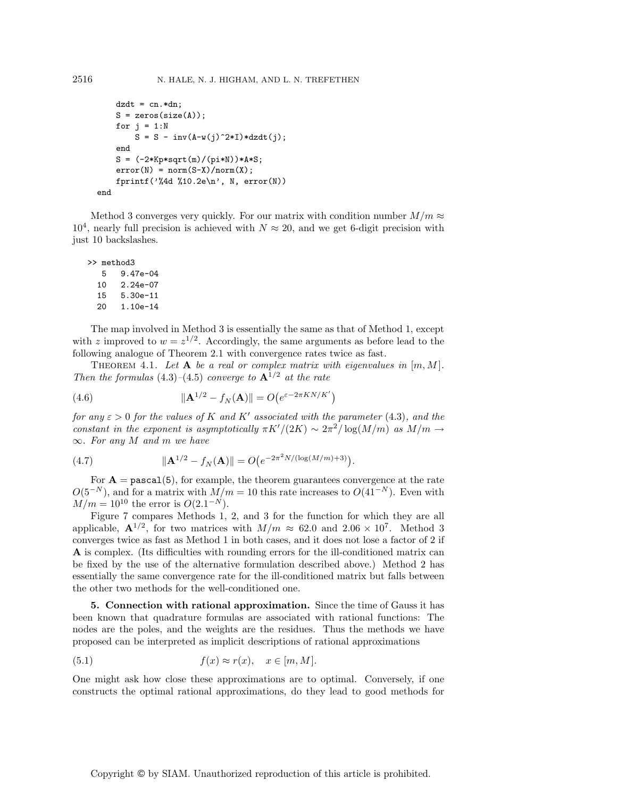```
dzdt = cn.*dn;S = zeros(size(A));for j = 1:NS = S - inv(A-w(j)^2*I)*dzdt(j);end
S = (-2*Kp*sqrt(m)/(pi*N))*A*S;error(N) = norm(S-X)/norm(X);fprintf('%4d %10.2e\n', N, error(N))
```
end

Method 3 converges very quickly. For our matrix with condition number  $M/m \approx$  $10^4$ , nearly full precision is achieved with  $N \approx 20$ , and we get 6-digit precision with just 10 backslashes.

```
>> method3
  5 9.47e-04
  10 2.24e-07
  15 5.30e-11
  20 1.10e-14
```
The map involved in Method 3 is essentially the same as that of Method 1, except with z improved to  $w = z^{1/2}$ . Accordingly, the same arguments as before lead to the following analogue of Theorem 2.1 with convergence rates twice as fast.

THEOREM 4.1. Let  $A$  be a real or complex matrix with eigenvalues in  $[m, M]$ . Then the formulas  $(4.3)$ – $(4.5)$  converge to  $\mathbf{A}^{1/2}$  at the rate

(4.6) 
$$
\|\mathbf{A}^{1/2} - f_N(\mathbf{A})\| = O(e^{\varepsilon - 2\pi KN/K'})
$$

for any  $\varepsilon > 0$  for the values of K and K' associated with the parameter (4.3), and the constant in the exponent is asymptotically  $\pi K'/(2K) \sim 2\pi^2/\log(M/m)$  as  $M/m \to$  $\infty$ . For any M and m we have

(4.7) 
$$
\|\mathbf{A}^{1/2} - f_N(\mathbf{A})\| = O(e^{-2\pi^2 N/(\log(M/m) + 3)}).
$$

For  $\mathbf{A} = \text{pascal}(5)$ , for example, the theorem guarantees convergence at the rate  $O(5^{-N})$ , and for a matrix with  $M/m = 10$  this rate increases to  $O(41^{-N})$ . Even with  $M/m = 10^{10}$  the error is  $O(2.1^{-N})$ .

Figure 7 compares Methods 1, 2, and 3 for the function for which they are all applicable,  $\mathbf{A}^{1/2}$ , for two matrices with  $M/m \approx 62.0$  and  $2.06 \times 10^7$ . Method 3 converges twice as fast as Method 1 in both cases, and it does not lose a factor of 2 if **A** is complex. (Its difficulties with rounding errors for the ill-conditioned matrix can be fixed by the use of the alternative formulation described above.) Method 2 has essentially the same convergence rate for the ill-conditioned matrix but falls between the other two methods for the well-conditioned one.

**5. Connection with rational approximation.** Since the time of Gauss it has been known that quadrature formulas are associated with rational functions: The nodes are the poles, and the weights are the residues. Thus the methods we have proposed can be interpreted as implicit descriptions of rational approximations

(5.1) 
$$
f(x) \approx r(x), \quad x \in [m, M].
$$

One might ask how close these approximations are to optimal. Conversely, if one constructs the optimal rational approximations, do they lead to good methods for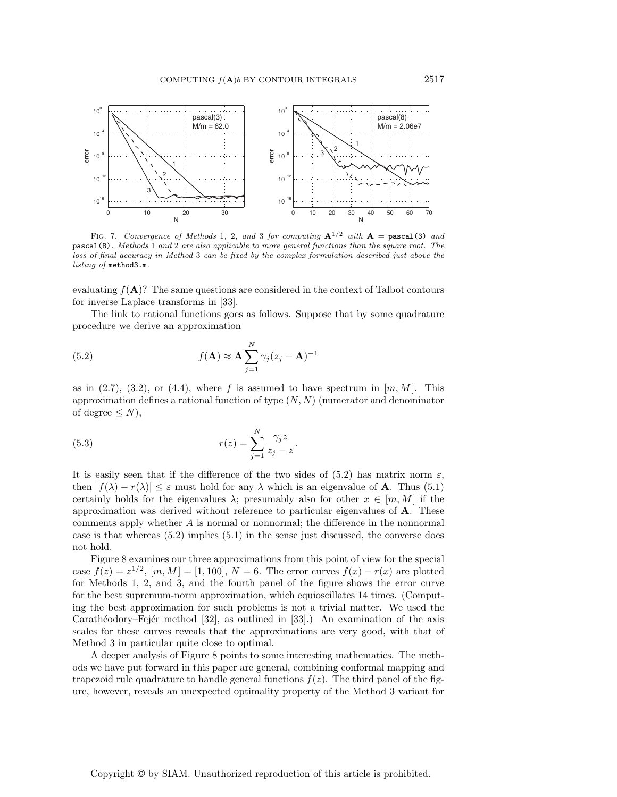

FIG. 7. Convergence of Methods 1, 2, and 3 for computing  $A^{1/2}$  with  $A =$  pascal(3) and pascal(8). Methods 1 and 2 are also applicable to more general functions than the square root. The loss of final accuracy in Method 3 can be fixed by the complex formulation described just above the listing of method3.m.

evaluating  $f(A)$ ? The same questions are considered in the context of Talbot contours for inverse Laplace transforms in [33].

The link to rational functions goes as follows. Suppose that by some quadrature procedure we derive an approximation

(5.2) 
$$
f(\mathbf{A}) \approx \mathbf{A} \sum_{j=1}^{N} \gamma_j (z_j - \mathbf{A})^{-1}
$$

as in  $(2.7)$ ,  $(3.2)$ , or  $(4.4)$ , where f is assumed to have spectrum in  $[m, M]$ . This approximation defines a rational function of type  $(N, N)$  (numerator and denominator of degree  $\leq N$ ),

(5.3) 
$$
r(z) = \sum_{j=1}^{N} \frac{\gamma_j z}{z_j - z}.
$$

It is easily seen that if the difference of the two sides of (5.2) has matrix norm  $\varepsilon$ , then  $|f(\lambda) - r(\lambda)| \leq \varepsilon$  must hold for any  $\lambda$  which is an eigenvalue of **A**. Thus (5.1) certainly holds for the eigenvalues  $\lambda$ ; presumably also for other  $x \in [m, M]$  if the approximation was derived without reference to particular eigenvalues of **A**. These comments apply whether A is normal or nonnormal; the difference in the nonnormal case is that whereas (5.2) implies (5.1) in the sense just discussed, the converse does not hold.

Figure 8 examines our three approximations from this point of view for the special case  $f(z) = z^{1/2}$ ,  $[m, M] = [1, 100]$ ,  $N = 6$ . The error curves  $f(x) - r(x)$  are plotted for Methods 1, 2, and 3, and the fourth panel of the figure shows the error curve for the best supremum-norm approximation, which equioscillates 14 times. (Computing the best approximation for such problems is not a trivial matter. We used the Carathéodory–Fejér method  $[32]$ , as outlined in  $[33]$ .) An examination of the axis scales for these curves reveals that the approximations are very good, with that of Method 3 in particular quite close to optimal.

A deeper analysis of Figure 8 points to some interesting mathematics. The methods we have put forward in this paper are general, combining conformal mapping and trapezoid rule quadrature to handle general functions  $f(z)$ . The third panel of the figure, however, reveals an unexpected optimality property of the Method 3 variant for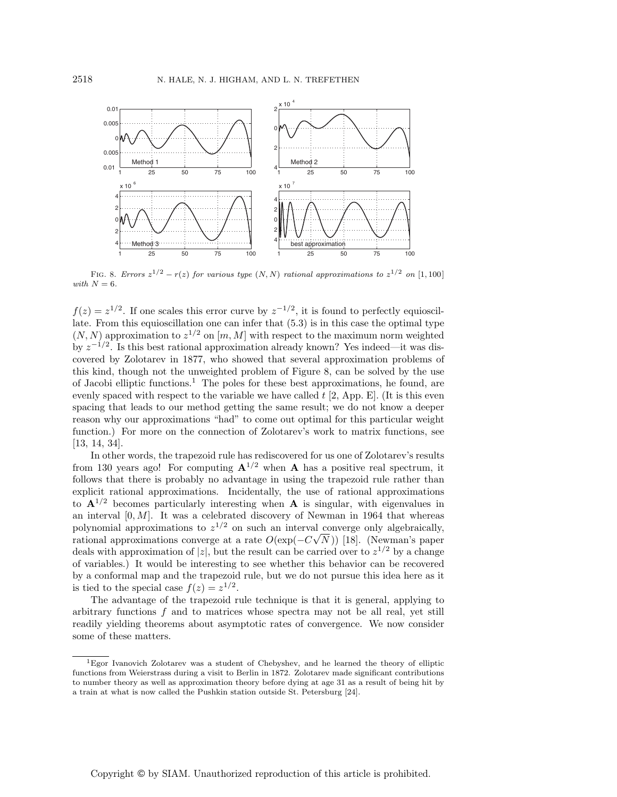

FIG. 8. Errors  $z^{1/2} - r(z)$  for various type  $(N, N)$  rational approximations to  $z^{1/2}$  on [1, 100] with  $N = 6$ .

 $f(z) = z^{1/2}$ . If one scales this error curve by  $z^{-1/2}$ , it is found to perfectly equioscillate. From this equioscillation one can infer that (5.3) is in this case the optimal type  $(N, N)$  approximation to  $z^{1/2}$  on  $[m, M]$  with respect to the maximum norm weighted by  $z^{-1/2}$ . Is this best rational approximation already known? Yes indeed—it was discovered by Zolotarev in 1877, who showed that several approximation problems of this kind, though not the unweighted problem of Figure 8, can be solved by the use of Jacobi elliptic functions.<sup>1</sup> The poles for these best approximations, he found, are evenly spaced with respect to the variable we have called  $t$  [2, App. E]. (It is this even spacing that leads to our method getting the same result; we do not know a deeper reason why our approximations "had" to come out optimal for this particular weight function.) For more on the connection of Zolotarev's work to matrix functions, see [13, 14, 34].

In other words, the trapezoid rule has rediscovered for us one of Zolotarev's results from 130 years ago! For computing  $A^{1/2}$  when A has a positive real spectrum, it follows that there is probably no advantage in using the trapezoid rule rather than explicit rational approximations. Incidentally, the use of rational approximations to  $A^{1/2}$  becomes particularly interesting when A is singular, with eigenvalues in an interval  $[0, M]$ . It was a celebrated discovery of Newman in 1964 that whereas polynomial approximations to  $z^{1/2}$  on such an interval converge only algebraically, rational approximations converge at a rate  $O(\exp(-C\sqrt{N}))$  [18]. (Newman's paper deals with approximation of |z|, but the result can be carried over to  $z^{1/2}$  by a change of variables.) It would be interesting to see whether this behavior can be recovered by a conformal map and the trapezoid rule, but we do not pursue this idea here as it is tied to the special case  $f(z) = z^{1/2}$ .

The advantage of the trapezoid rule technique is that it is general, applying to arbitrary functions  $f$  and to matrices whose spectra may not be all real, yet still readily yielding theorems about asymptotic rates of convergence. We now consider some of these matters.

<sup>1</sup>Egor Ivanovich Zolotarev was a student of Chebyshev, and he learned the theory of elliptic functions from Weierstrass during a visit to Berlin in 1872. Zolotarev made significant contributions to number theory as well as approximation theory before dying at age 31 as a result of being hit by a train at what is now called the Pushkin station outside St. Petersburg [24].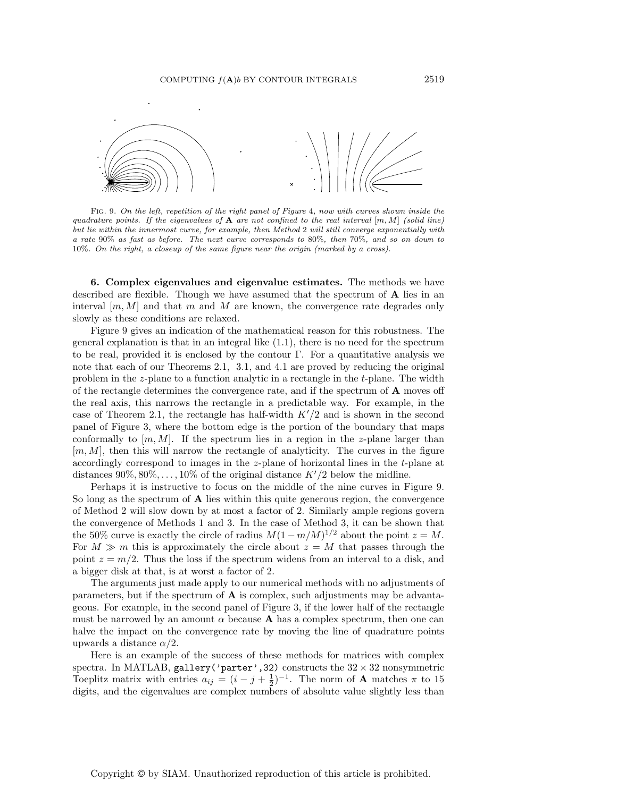

Fig. 9. On the left, repetition of the right panel of Figure 4, now with curves shown inside the quadrature points. If the eigenvalues of  $A$  are not confined to the real interval  $[m, M]$  (solid line) but lie within the innermost curve, for example, then Method 2 will still converge exponentially with a rate 90% as fast as before. The next curve corresponds to 80%, then 70%, and so on down to 10%. On the right, a closeup of the same figure near the origin (marked by a cross).

**6. Complex eigenvalues and eigenvalue estimates.** The methods we have described are flexible. Though we have assumed that the spectrum of **A** lies in an interval  $[m, M]$  and that m and M are known, the convergence rate degrades only slowly as these conditions are relaxed.

Figure 9 gives an indication of the mathematical reason for this robustness. The general explanation is that in an integral like (1.1), there is no need for the spectrum to be real, provided it is enclosed by the contour  $\Gamma$ . For a quantitative analysis we note that each of our Theorems 2.1, 3.1, and 4.1 are proved by reducing the original problem in the z-plane to a function analytic in a rectangle in the t-plane. The width of the rectangle determines the convergence rate, and if the spectrum of **A** moves off the real axis, this narrows the rectangle in a predictable way. For example, in the case of Theorem 2.1, the rectangle has half-width  $K'/2$  and is shown in the second panel of Figure 3, where the bottom edge is the portion of the boundary that maps conformally to  $[m, M]$ . If the spectrum lies in a region in the z-plane larger than  $[m, M]$ , then this will narrow the rectangle of analyticity. The curves in the figure accordingly correspond to images in the z-plane of horizontal lines in the t-plane at distances 90%,  $80\%, \ldots, 10\%$  of the original distance  $K'/2$  below the midline.

Perhaps it is instructive to focus on the middle of the nine curves in Figure 9. So long as the spectrum of **A** lies within this quite generous region, the convergence of Method 2 will slow down by at most a factor of 2. Similarly ample regions govern the convergence of Methods 1 and 3. In the case of Method 3, it can be shown that the 50% curve is exactly the circle of radius  $M(1 - m/M)^{1/2}$  about the point  $z = M$ . For  $M \gg m$  this is approximately the circle about  $z = M$  that passes through the point  $z = m/2$ . Thus the loss if the spectrum widens from an interval to a disk, and a bigger disk at that, is at worst a factor of 2.

The arguments just made apply to our numerical methods with no adjustments of parameters, but if the spectrum of **A** is complex, such adjustments may be advantageous. For example, in the second panel of Figure 3, if the lower half of the rectangle must be narrowed by an amount  $\alpha$  because **A** has a complex spectrum, then one can halve the impact on the convergence rate by moving the line of quadrature points upwards a distance  $\alpha/2$ .

Here is an example of the success of these methods for matrices with complex spectra. In MATLAB, gallery('parter', 32) constructs the  $32 \times 32$  nonsymmetric Toeplitz matrix with entries  $a_{ij} = (i - j + \frac{1}{2})^{-1}$ . The norm of **A** matches  $\pi$  to 15 digits, and the eigenvalues are complex numbers of absolute value slightly less than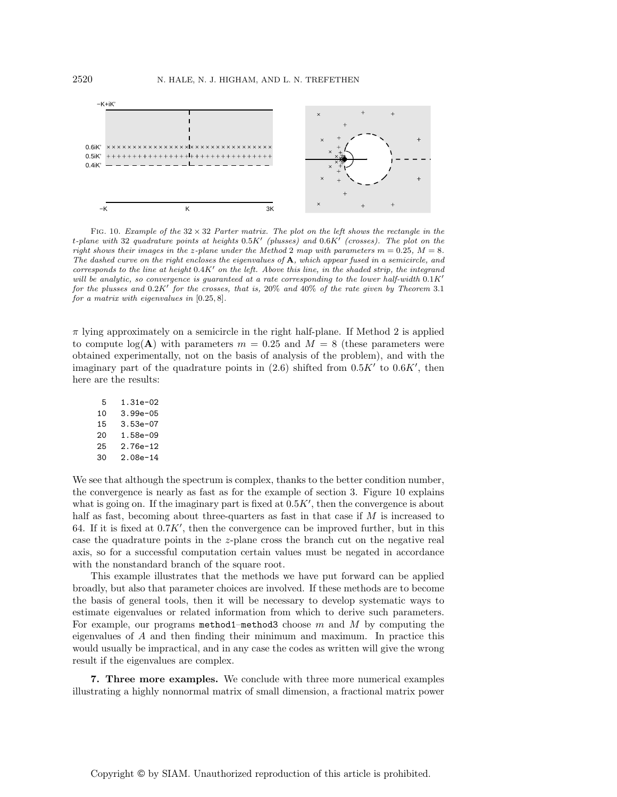

FIG. 10. Example of the  $32 \times 32$  Parter matrix. The plot on the left shows the rectangle in the t-plane with 32 quadrature points at heights  $0.5K'$  (plusses) and  $0.6K'$  (crosses). The plot on the right shows their images in the z-plane under the Method 2 map with parameters  $m = 0.25, M = 8$ . The dashed curve on the right encloses the eigenvalues of **A**, which appear fused in a semicircle, and corresponds to the line at height  $0.4K'$  on the left. Above this line, in the shaded strip, the integrand will be analytic, so convergence is quaranteed at a rate corresponding to the lower half-width  $0.1K'$ for the plusses and  $0.2K'$  for the crosses, that is,  $20\%$  and  $40\%$  of the rate given by Theorem 3.1 for a matrix with eigenvalues in [0.25, 8].

 $\pi$  lying approximately on a semicircle in the right half-plane. If Method 2 is applied to compute  $\log(A)$  with parameters  $m = 0.25$  and  $M = 8$  (these parameters were obtained experimentally, not on the basis of analysis of the problem), and with the imaginary part of the quadrature points in  $(2.6)$  shifted from  $0.5K'$  to  $0.6K'$ , then here are the results:

| 5  | 1.31e-02   |
|----|------------|
| 10 | 3.99e-05   |
| 15 | $3.53e-07$ |
| 20 | 1.58e-09   |
| 25 | 2.76e-12   |
| 30 | 2.08e-14   |

We see that although the spectrum is complex, thanks to the better condition number, the convergence is nearly as fast as for the example of section 3. Figure 10 explains what is going on. If the imaginary part is fixed at  $0.5K'$ , then the convergence is about half as fast, becoming about three-quarters as fast in that case if  $M$  is increased to 64. If it is fixed at  $0.7K'$ , then the convergence can be improved further, but in this case the quadrature points in the z-plane cross the branch cut on the negative real axis, so for a successful computation certain values must be negated in accordance with the nonstandard branch of the square root.

This example illustrates that the methods we have put forward can be applied broadly, but also that parameter choices are involved. If these methods are to become the basis of general tools, then it will be necessary to develop systematic ways to estimate eigenvalues or related information from which to derive such parameters. For example, our programs method1–method3 choose  $m$  and  $M$  by computing the eigenvalues of A and then finding their minimum and maximum. In practice this would usually be impractical, and in any case the codes as written will give the wrong result if the eigenvalues are complex.

**7. Three more examples.** We conclude with three more numerical examples illustrating a highly nonnormal matrix of small dimension, a fractional matrix power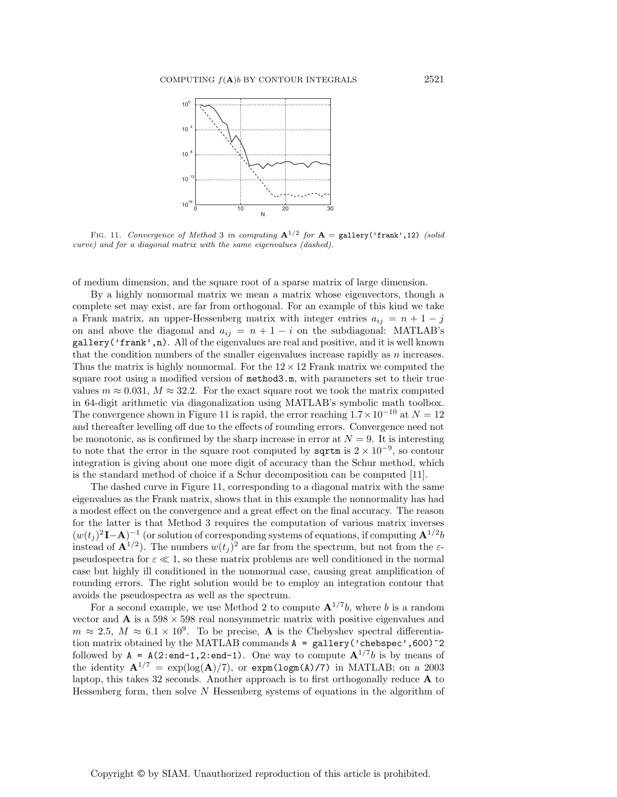

FIG. 11. Convergence of Method 3 in computing  $A^{1/2}$  for  $A =$  gallery('frank', 12) (solid curve) and for a diagonal matrix with the same eigenvalues (dashed).

of medium dimension, and the square root of a sparse matrix of large dimension.

By a highly nonnormal matrix we mean a matrix whose eigenvectors, though a complete set may exist, are far from orthogonal. For an example of this kind we take a Frank matrix, an upper-Hessenberg matrix with integer entries  $a_{ij} = n + 1 - j$ on and above the diagonal and  $a_{ij} = n + 1 - i$  on the subdiagonal: MATLAB's gallery('frank',n). All of the eigenvalues are real and positive, and it is well known that the condition numbers of the smaller eigenvalues increase rapidly as  $n$  increases. Thus the matrix is highly nonnormal. For the  $12 \times 12$  Frank matrix we computed the square root using a modified version of method3.m, with parameters set to their true values  $m \approx 0.031$ ,  $M \approx 32.2$ . For the exact square root we took the matrix computed in 64-digit arithmetic via diagonalization using MATLAB's symbolic math toolbox. The convergence shown in Figure 11 is rapid, the error reaching  $1.7 \times 10^{-10}$  at  $N = 12$ and thereafter levelling off due to the effects of rounding errors. Convergence need not be monotonic, as is confirmed by the sharp increase in error at  $N = 9$ . It is interesting to note that the error in the square root computed by  $sqrt{sqrt}$  is 2 × 10<sup>-9</sup>, so contour integration is giving about one more digit of accuracy than the Schur method, which is the standard method of choice if a Schur decomposition can be computed [11].

The dashed curve in Figure 11, corresponding to a diagonal matrix with the same eigenvalues as the Frank matrix, shows that in this example the nonnormality has had a modest effect on the convergence and a great effect on the final accuracy. The reason for the latter is that Method 3 requires the computation of various matrix inverses  $(w(t_i)^2 \mathbf{I}-\mathbf{A})^{-1}$  (or solution of corresponding systems of equations, if computing  $\mathbf{A}^{1/2}b$ instead of  $\mathbf{A}^{1/2}$ ). The numbers  $w(t_i)^2$  are far from the spectrum, but not from the  $\varepsilon$ pseudospectra for  $\varepsilon \ll 1$ , so these matrix problems are well conditioned in the normal case but highly ill conditioned in the nonnormal case, causing great amplification of rounding errors. The right solution would be to employ an integration contour that avoids the pseudospectra as well as the spectrum.

For a second example, we use Method 2 to compute  $A^{1/7}b$ , where b is a random vector and  $\bf{A}$  is a 598  $\times$  598 real nonsymmetric matrix with positive eigenvalues and  $m \approx 2.5$ ,  $M \approx 6.1 \times 10^9$ . To be precise, **A** is the Chebyshev spectral differentiation matrix obtained by the MATLAB commands A = gallery('chebspec',600)^2 followed by  $A = A(2:\text{end-1}, 2:\text{end-1})$ . One way to compute  $A^{1/7}b$  is by means of the identity  $A^{1/7} = \exp(\log(A)/7)$ , or  $\exp(\log(A)/7)$  in MATLAB; on a 2003 laptop, this takes 32 seconds. Another approach is to first orthogonally reduce **A** to Hessenberg form, then solve  $N$  Hessenberg systems of equations in the algorithm of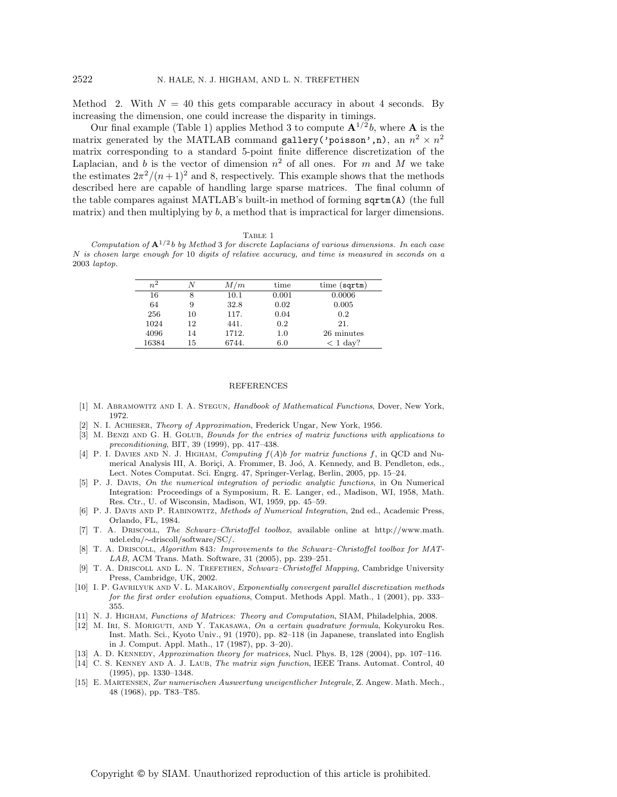Method 2. With  $N = 40$  this gets comparable accuracy in about 4 seconds. By increasing the dimension, one could increase the disparity in timings.

Our final example (Table 1) applies Method 3 to compute  $\mathbf{A}^{1/2}b$ , where  $\mathbf{A}$  is the matrix generated by the MATLAB command gallery('poisson',n), an  $n^2 \times n^2$ matrix corresponding to a standard 5-point finite difference discretization of the Laplacian, and b is the vector of dimension  $n^2$  of all ones. For m and M we take the estimates  $2\pi^2/(n+1)^2$  and 8, respectively. This example shows that the methods described here are capable of handling large sparse matrices. The final column of the table compares against MATLAB's built-in method of forming sqrtm(A) (the full matrix) and then multiplying by b, a method that is impractical for larger dimensions.

## TABLE 1

Computation of  ${\bf A}^{1/2} b$  by Method 3 for discrete Laplacians of various dimensions. In each case N is chosen large enough for 10 digits of relative accuracy, and time is measured in seconds on a 2003 laptop.

| $n^2$ |    | M/m      | time    | time (sqrt) |
|-------|----|----------|---------|-------------|
| 16    |    | $10.1\,$ | 0.001   | 0.0006      |
| 64    |    | 32.8     | 0.02    | 0.005       |
| 256   | 10 | 117.     | 0.04    | 0.2         |
| 1024  | 12 | 441.     | 0.2     | 21.         |
| 4096  | 14 | 1712.    | $1.0\,$ | 26 minutes  |
| 16384 | 15 | 6744.    | 6.0     | $<$ 1 day?  |

## REFERENCES

- [1] M. ABRAMOWITZ AND I. A. STEGUN, Handbook of Mathematical Functions, Dover, New York, 1972.
- [2] N. I. Achieser, Theory of Approximation, Frederick Ungar, New York, 1956.
- [3] M. BENZI AND G. H. GOLUB, Bounds for the entries of matrix functions with applications to preconditioning, BIT, 39 (1999), pp. 417–438.
- [4] P. I. DAVIES AND N. J. HIGHAM, Computing  $f(A)b$  for matrix functions f, in QCD and Numerical Analysis III, A. Boriçi, A. Frommer, B. Joó, A. Kennedy, and B. Pendleton, eds., Lect. Notes Computat. Sci. Engrg. 47, Springer-Verlag, Berlin, 2005, pp. 15–24.
- [5] P. J. Davis, On the numerical integration of periodic analytic functions, in On Numerical Integration: Proceedings of a Symposium, R. E. Langer, ed., Madison, WI, 1958, Math. Res. Ctr., U. of Wisconsin, Madison, WI, 1959, pp. 45–59.
- [6] P. J. Davis and P. Rabinowitz, Methods of Numerical Integration, 2nd ed., Academic Press, Orlando, FL, 1984.
- [7] T. A. Driscoll, The Schwarz–Christoffel toolbox, available online at http://www.math. udel.edu/∼driscoll/software/SC/.
- [8] T. A. Driscoll, Algorithm 843: Improvements to the Schwarz–Christoffel toolbox for MAT-LAB, ACM Trans. Math. Software, 31 (2005), pp. 239–251.
- [9] T. A. DRISCOLL AND L. N. TREFETHEN, Schwarz–Christoffel Mapping, Cambridge University Press, Cambridge, UK, 2002.
- [10] I. P. GAVRILYUK AND V. L. MAKAROV, Exponentially convergent parallel discretization methods for the first order evolution equations, Comput. Methods Appl. Math., 1 (2001), pp. 333– 355.
- [11] N. J. Higham, Functions of Matrices: Theory and Computation, SIAM, Philadelphia, 2008.
- [12] M. Iri, S. Moriguti, and Y. Takasawa, On a certain quadrature formula, Kokyuroku Res. Inst. Math. Sci., Kyoto Univ., 91 (1970), pp. 82–118 (in Japanese, translated into English in J. Comput. Appl. Math., 17 (1987), pp. 3–20).
- [13] A. D. KENNEDY, Approximation theory for matrices, Nucl. Phys. B, 128 (2004), pp. 107-116.
- [14] C. S. KENNEY AND A. J. LAUB, The matrix sign function, IEEE Trans. Automat. Control, 40 (1995), pp. 1330–1348.
- [15] E. Martensen, Zur numerischen Auswertung uneigentlicher Integrale, Z. Angew. Math. Mech., 48 (1968), pp. T83–T85.